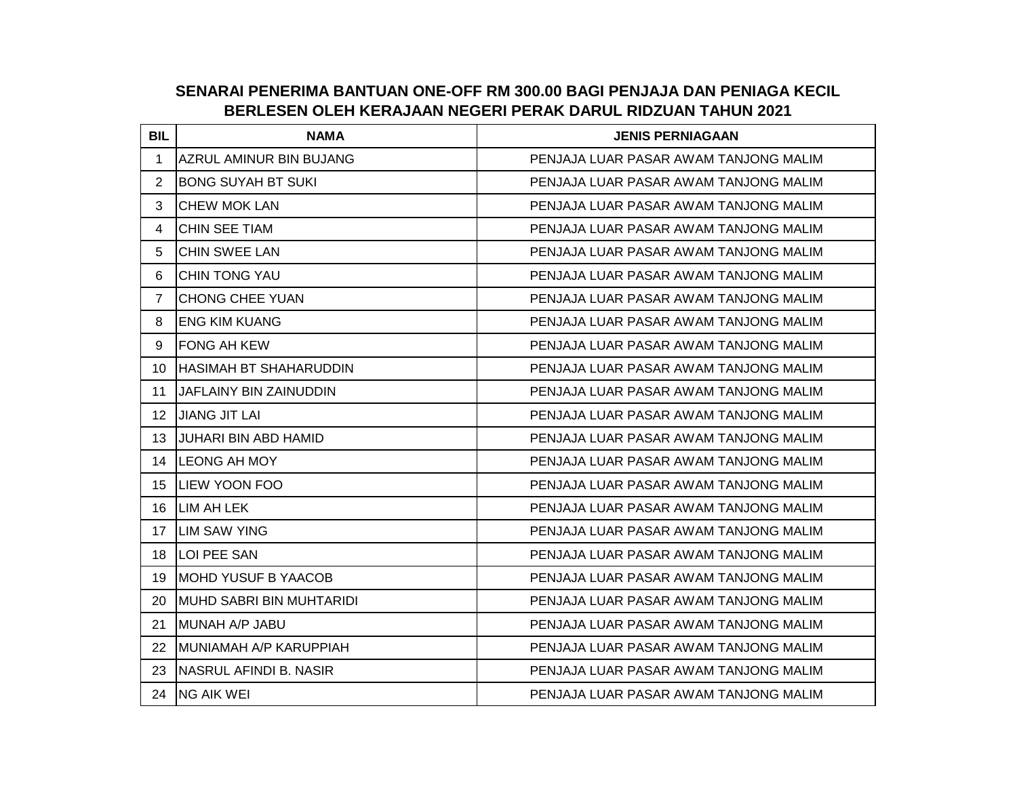## **SENARAI PENERIMA BANTUAN ONE-OFF RM 300.00 BAGI PENJAJA DAN PENIAGA KECIL BERLESEN OLEH KERAJAAN NEGERI PERAK DARUL RIDZUAN TAHUN 2021**

| <b>BIL</b>     | <b>NAMA</b>                    | <b>JENIS PERNIAGAAN</b>               |
|----------------|--------------------------------|---------------------------------------|
| 1              | <b>AZRUL AMINUR BIN BUJANG</b> | PENJAJA LUAR PASAR AWAM TANJONG MALIM |
| $\overline{2}$ | BONG SUYAH BT SUKI             | PENJAJA LUAR PASAR AWAM TANJONG MALIM |
| 3              | <b>CHEW MOK LAN</b>            | PENJAJA LUAR PASAR AWAM TANJONG MALIM |
| 4              | ICHIN SEE TIAM                 | PENJAJA LUAR PASAR AWAM TANJONG MALIM |
| 5              | <b>CHIN SWEE LAN</b>           | PENJAJA LUAR PASAR AWAM TANJONG MALIM |
| 6              | <b>CHIN TONG YAU</b>           | PENJAJA LUAR PASAR AWAM TANJONG MALIM |
| $\overline{7}$ | CHONG CHEE YUAN                | PENJAJA LUAR PASAR AWAM TANJONG MALIM |
| 8              | <b>ENG KIM KUANG</b>           | PENJAJA LUAR PASAR AWAM TANJONG MALIM |
| 9              | <b>IFONG AH KEW</b>            | PENJAJA LUAR PASAR AWAM TANJONG MALIM |
| 10             | HASIMAH BT SHAHARUDDIN         | PENJAJA LUAR PASAR AWAM TANJONG MALIM |
| 11             | JAFLAINY BIN ZAINUDDIN         | PENJAJA LUAR PASAR AWAM TANJONG MALIM |
| 12             | <b>JIANG JIT LAI</b>           | PENJAJA LUAR PASAR AWAM TANJONG MALIM |
| 13             | JUHARI BIN ABD HAMID           | PENJAJA LUAR PASAR AWAM TANJONG MALIM |
| 14             | <b>LEONG AH MOY</b>            | PENJAJA LUAR PASAR AWAM TANJONG MALIM |
| 15             | ILIEW YOON FOO                 | PENJAJA LUAR PASAR AWAM TANJONG MALIM |
| 16             | LIM AH LEK                     | PENJAJA LUAR PASAR AWAM TANJONG MALIM |
| 17             | <b>LIM SAW YING</b>            | PENJAJA LUAR PASAR AWAM TANJONG MALIM |
| 18             | <b>LOI PEE SAN</b>             | PENJAJA LUAR PASAR AWAM TANJONG MALIM |
| 19             | <b>IMOHD YUSUF B YAACOB</b>    | PENJAJA LUAR PASAR AWAM TANJONG MALIM |
| 20             | IMUHD SABRI BIN MUHTARIDI      | PENJAJA LUAR PASAR AWAM TANJONG MALIM |
| 21             | <b>IMUNAH A/P JABU</b>         | PENJAJA LUAR PASAR AWAM TANJONG MALIM |
| 22             | IMUNIAMAH A/P KARUPPIAH        | PENJAJA LUAR PASAR AWAM TANJONG MALIM |
| 23             | INASRUL AFINDI B. NASIR        | PENJAJA LUAR PASAR AWAM TANJONG MALIM |
| 24             | <b>NG AIK WEI</b>              | PENJAJA LUAR PASAR AWAM TANJONG MALIM |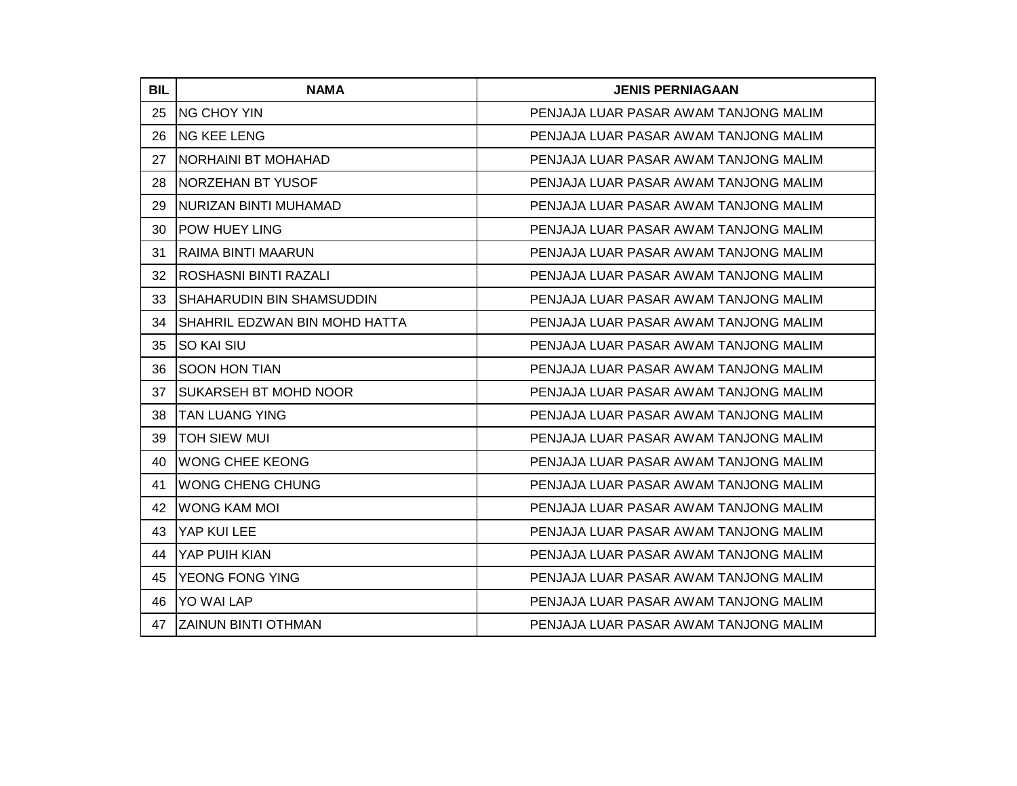| <b>BIL</b> | <b>NAMA</b>                    | <b>JENIS PERNIAGAAN</b>               |
|------------|--------------------------------|---------------------------------------|
| 25         | <b>NG CHOY YIN</b>             | PENJAJA LUAR PASAR AWAM TANJONG MALIM |
| 26         | <b>NG KEE LENG</b>             | PENJAJA LUAR PASAR AWAM TANJONG MALIM |
| 27         | <b>NORHAINI BT MOHAHAD</b>     | PENJAJA LUAR PASAR AWAM TANJONG MALIM |
| 28         | <b>NORZEHAN BT YUSOF</b>       | PENJAJA LUAR PASAR AWAM TANJONG MALIM |
| 29         | NURIZAN BINTI MUHAMAD          | PENJAJA LUAR PASAR AWAM TANJONG MALIM |
| 30         | <b>POW HUEY LING</b>           | PENJAJA LUAR PASAR AWAM TANJONG MALIM |
| 31         | IRAIMA BINTI MAARUN            | PENJAJA LUAR PASAR AWAM TANJONG MALIM |
| 32         | <b>ROSHASNI BINTI RAZALI</b>   | PENJAJA LUAR PASAR AWAM TANJONG MALIM |
| 33         | ISHAHARUDIN BIN SHAMSUDDIN     | PENJAJA LUAR PASAR AWAM TANJONG MALIM |
| 34         | ISHAHRIL EDZWAN BIN MOHD HATTA | PENJAJA LUAR PASAR AWAM TANJONG MALIM |
| 35         | <b>SO KAI SIU</b>              | PENJAJA LUAR PASAR AWAM TANJONG MALIM |
| 36         | <b>SOON HON TIAN</b>           | PENJAJA LUAR PASAR AWAM TANJONG MALIM |
| 37         | ISUKARSEH BT MOHD NOOR         | PENJAJA LUAR PASAR AWAM TANJONG MALIM |
| 38         | <b>ITAN LUANG YING</b>         | PENJAJA LUAR PASAR AWAM TANJONG MALIM |
| 39         | <b>TOH SIEW MUI</b>            | PENJAJA LUAR PASAR AWAM TANJONG MALIM |
| 40         | <b>WONG CHEE KEONG</b>         | PENJAJA LUAR PASAR AWAM TANJONG MALIM |
| 41         | <b>WONG CHENG CHUNG</b>        | PENJAJA LUAR PASAR AWAM TANJONG MALIM |
| 42         | <b>WONG KAM MOI</b>            | PENJAJA LUAR PASAR AWAM TANJONG MALIM |
| 43         | YAP KUI LEE                    | PENJAJA LUAR PASAR AWAM TANJONG MALIM |
| 44         | <b>IYAP PUIH KIAN</b>          | PENJAJA LUAR PASAR AWAM TANJONG MALIM |
| 45         | <b>YEONG FONG YING</b>         | PENJAJA LUAR PASAR AWAM TANJONG MALIM |
| 46         | <b>YO WAI LAP</b>              | PENJAJA LUAR PASAR AWAM TANJONG MALIM |
| 47         | IZAINUN BINTI OTHMAN           | PENJAJA LUAR PASAR AWAM TANJONG MALIM |